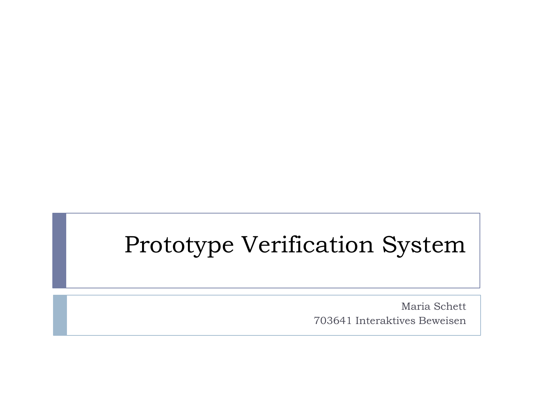## Prototype Verification System

Maria Schett 703641 Interaktives Beweisen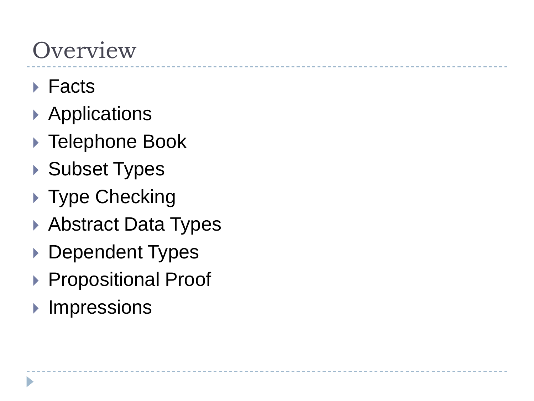## **Overview**

- ▶ Facts
- ▶ Applications
- ▶ Telephone Book
- ▶ Subset Types
- ▶ Type Checking
- ▶ Abstract Data Types
- ▶ Dependent Types
- ▶ Propositional Proof
- **Impressions**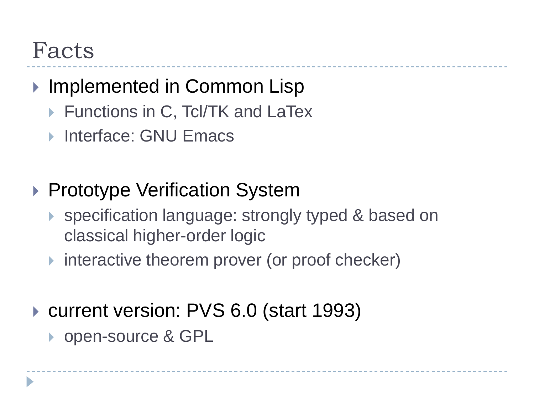### Facts

### ▶ Implemented in Common Lisp

- ▶ Functions in C, Tcl/TK and LaTex
- ▶ Interface: GNU Emacs
- ▶ Prototype Verification System
	- ▶ specification language: strongly typed & based on classical higher-order logic
	- $\triangleright$  interactive theorem prover (or proof checker)
- ▶ current version: PVS 6.0 (start 1993)
	- ▶ open-source & GPL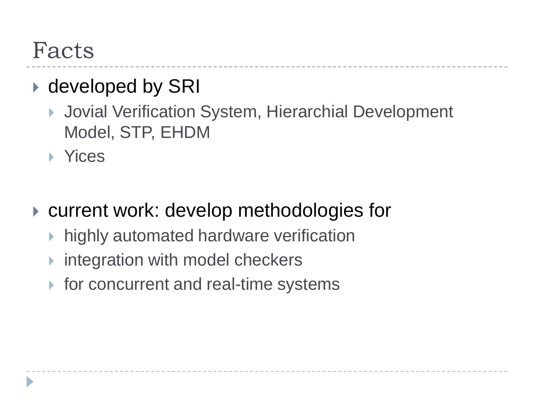### Facts

### ▶ developed by SRI

- Jovial Verification System, Hierarchial Development Model, STP, EHDM
- **EXP** Yices

▶ current work: develop methodologies for

- $\triangleright$  highly automated hardware verification
- integration with model checkers
- $\triangleright$  for concurrent and real-time systems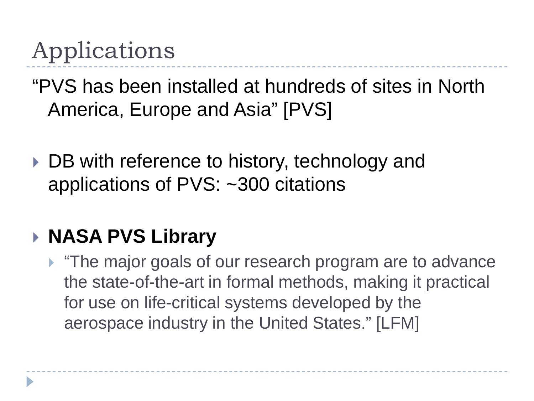## Applications

"PVS has been installed at hundreds of sites in North America, Europe and Asia" [PVS]

▶ DB with reference to history, technology and applications of PVS: ~300 citations

### **NASA PVS Library**

**The major goals of our research program are to advance** the state-of-the-art in formal methods, making it practical for use on life-critical systems developed by the aerospace industry in the United States." [LFM]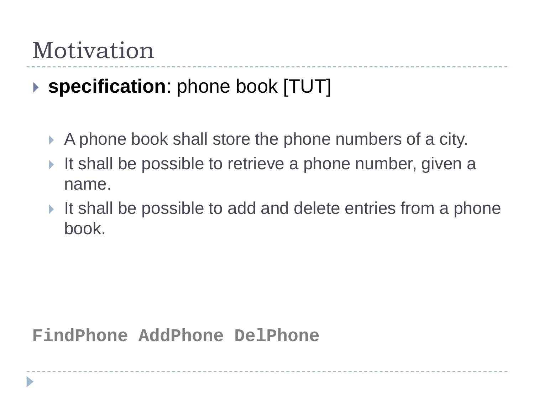### Motivation

### **specification**: phone book [TUT]

- A phone book shall store the phone numbers of a city.
- It shall be possible to retrieve a phone number, given a name.
- It shall be possible to add and delete entries from a phone book.

#### **FindPhone AddPhone DelPhone**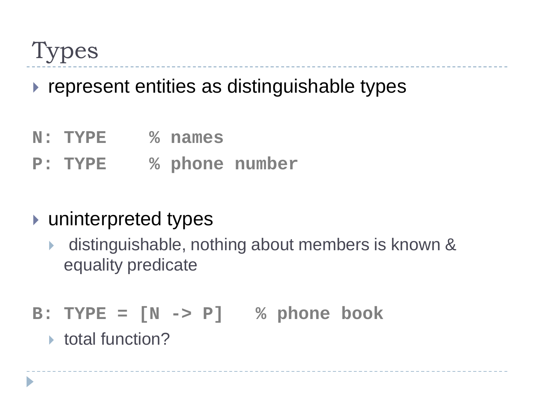Types

#### $\triangleright$  represent entities as distinguishable types

- **N: TYPE % names**
- **P: TYPE % phone number**

#### ▶ uninterpreted types

- distinguishable, nothing about members is known & equality predicate
- **B: TYPE = [N -> P] % phone book**
	- $\triangleright$  total function?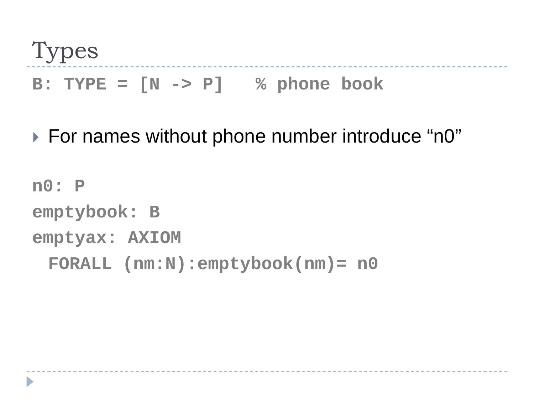Types **B: TYPE = [N -> P] % phone book**

▶ For names without phone number introduce "n0"

**n0: P emptybook: B emptyax: AXIOM FORALL (nm:N):emptybook(nm)= n0**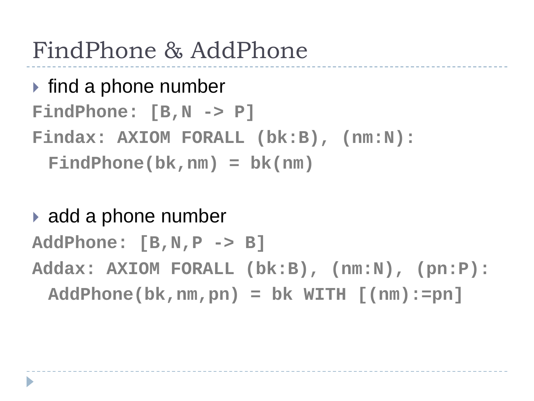## FindPhone & AddPhone

### $\blacktriangleright$  find a phone number **FindPhone: [B,N -> P] Findax: AXIOM FORALL (bk:B), (nm:N): FindPhone(bk,nm) = bk(nm)**

#### ▶ add a phone number

**AddPhone: [B,N,P -> B] Addax: AXIOM FORALL (bk:B), (nm:N), (pn:P): AddPhone(bk,nm,pn) = bk WITH [(nm):=pn]**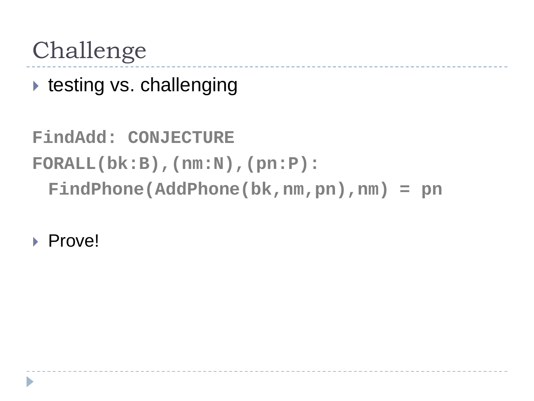### Challenge

 $\triangleright$  testing vs. challenging

**FindAdd: CONJECTURE FORALL(bk:B),(nm:N),(pn:P): FindPhone(AddPhone(bk,nm,pn),nm) = pn**

**Prove!**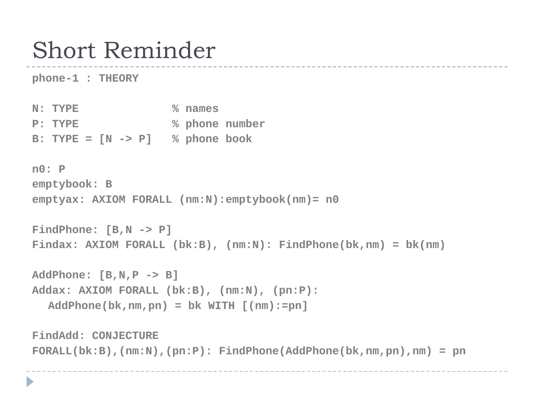### Short Reminder

**phone-1 : THEORY**

b.

**N: TYPE % names P: TYPE % phone number B: TYPE = [N -> P] % phone book**

**n0: P emptybook: B emptyax: AXIOM FORALL (nm:N):emptybook(nm)= n0**

```
FindPhone: [B,N -> P]
Findax: AXIOM FORALL (bk:B), (nm:N): FindPhone(bk,nm) = bk(nm)
```
**AddPhone: [B,N,P -> B] Addax: AXIOM FORALL (bk:B), (nm:N), (pn:P): AddPhone(bk,nm,pn) = bk WITH [(nm):=pn]**

```
FindAdd: CONJECTURE 
FORALL(bk:B),(nm:N),(pn:P): FindPhone(AddPhone(bk,nm,pn),nm) = pn
```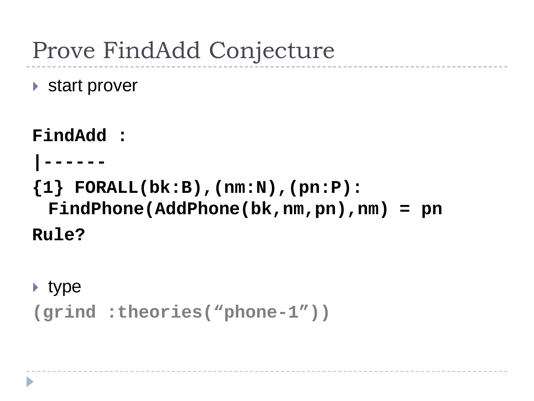## Prove FindAdd Conjecture

▶ start prover

**FindAdd : |------ {1} FORALL(bk:B),(nm:N),(pn:P): FindPhone(AddPhone(bk,nm,pn),nm) = pn Rule?**

 $\blacktriangleright$  type

```
(grind :theories("phone-1"))
```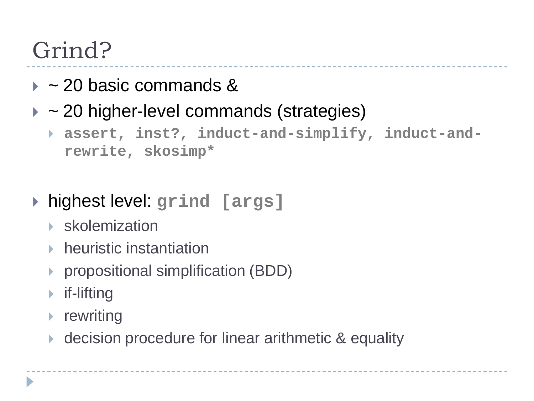## Grind?

- $\rightarrow$  ~20 basic commands &
- $\rightarrow$  ~20 higher-level commands (strategies)
	- **assert, inst?, induct-and-simplify, induct-andrewrite, skosimp\***
- highest level: **grind [args]**
	- skolemization
	- $\blacktriangleright$  heuristic instantiation
	- ▶ propositional simplification (BDD)
	- $\triangleright$  if-lifting
	- $\blacktriangleright$  rewriting
	- decision procedure for linear arithmetic & equality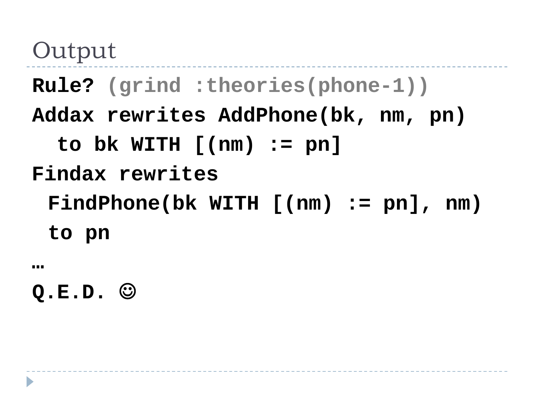Output

**Rule? (grind :theories(phone-1))**

**Addax rewrites AddPhone(bk, nm, pn)**

**to bk WITH [(nm) := pn]**

**Findax rewrites** 

**FindPhone(bk WITH [(nm) := pn], nm) to pn**

**…**

**Q.E.D.**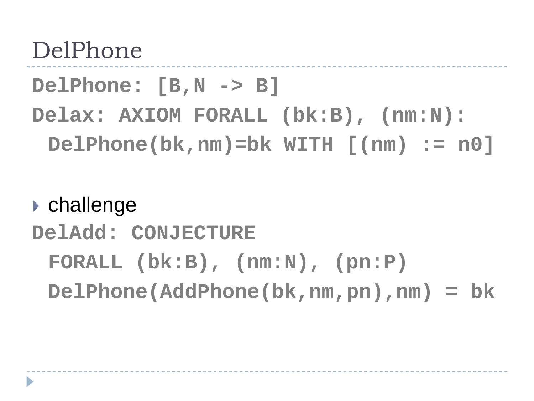### DelPhone

**DelPhone: [B,N -> B]**

**Delax: AXIOM FORALL (bk:B), (nm:N): DelPhone(bk,nm)=bk WITH [(nm) := n0]**

#### challenge

### **DelAdd: CONJECTURE FORALL (bk:B), (nm:N), (pn:P) DelPhone(AddPhone(bk,nm,pn),nm) = bk**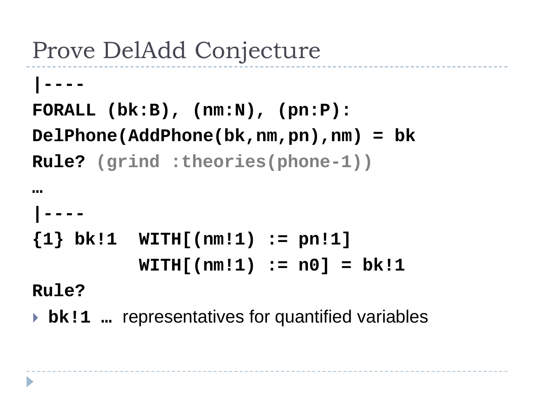## Prove DelAdd Conjecture

```
|----
FORALL (bk:B), (nm:N), (pn:P): 
DelPhone(AddPhone(bk,nm,pn),nm) = bk
Rule? (grind :theories(phone-1))
```

```
…
 |----
{1} bk!1 WITH[(nm!1) := pn!1] 
          WITH[(nm!1) := n0] = bk!1
```
**Rule?**

**bk!1** … representatives for quantified variables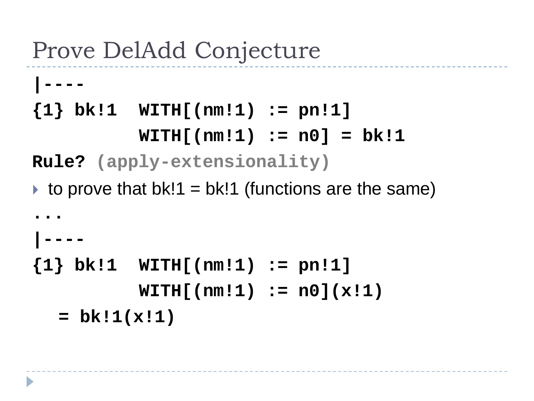## Prove DelAdd Conjecture

**|----**

**{1} bk!1 WITH[(nm!1) := pn!1] WITH[(nm!1) := n0] = bk!1**

**Rule? (apply-extensionality)**

 $\rightarrow$  to prove that bk!1 = bk!1 (functions are the same)

```
...
|----
{1} bk!1 WITH[(nm!1) := pn!1] 
          WITH[(nm!1) := n0](x!1) 
  = bk!1(x!1)
```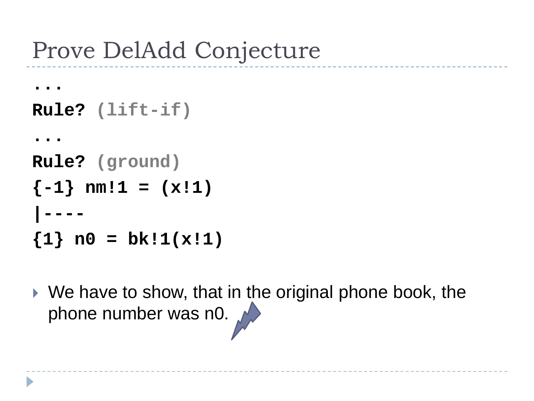## Prove DelAdd Conjecture

```
... 
Rule? (lift-if)
...
Rule? (ground)
{-1} nm!1 = (x!1)|----
\{1\} n0 = bk!1(x!1)
```
 We have to show, that in the original phone book, the phone number was n0.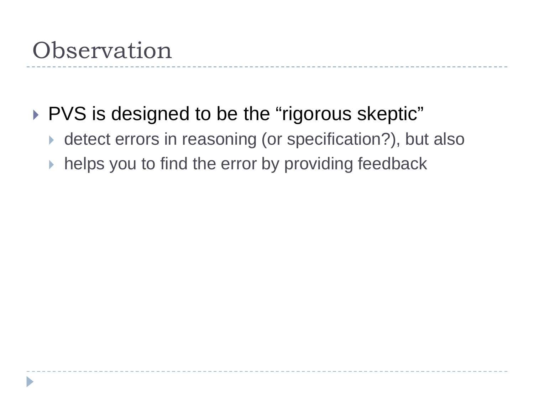### PVS is designed to be the "rigorous skeptic"

- ▶ detect errors in reasoning (or specification?), but also
- $\triangleright$  helps you to find the error by providing feedback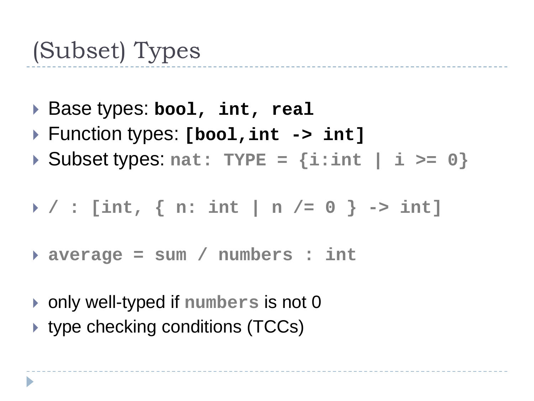## (Subset) Types

- Base types: **bool, int, real**
- Function types: **[bool,int -> int]**
- Subset types: **nat: TYPE = {i:int | i >= 0}**

$$
\rightarrow / : [int, \{ n: int | n / = 0 \} \rightarrow int]
$$

- **average = sum / numbers : int**
- only well-typed if **numbers** is not 0
- ▶ type checking conditions (TCCs)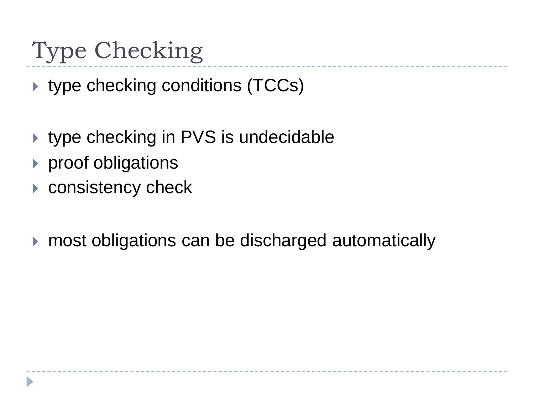## Type Checking

▶ type checking conditions (TCCs)

- ▶ type checking in PVS is undecidable
- ▶ proof obligations
- consistency check
- ▶ most obligations can be discharged automatically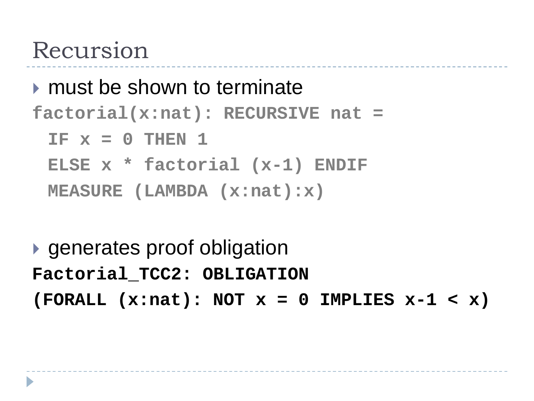### Recursion

```
\triangleright must be shown to terminate
```

```
factorial(x:nat): RECURSIVE nat =
```

```
IF x = 0 THEN 1
```

```
ELSE x * factorial (x-1) ENDIF
```

```
MEASURE (LAMBDA (x:nat):x)
```
▶ generates proof obligation **Factorial\_TCC2: OBLIGATION (FORALL (x:nat): NOT x = 0 IMPLIES x-1 < x)**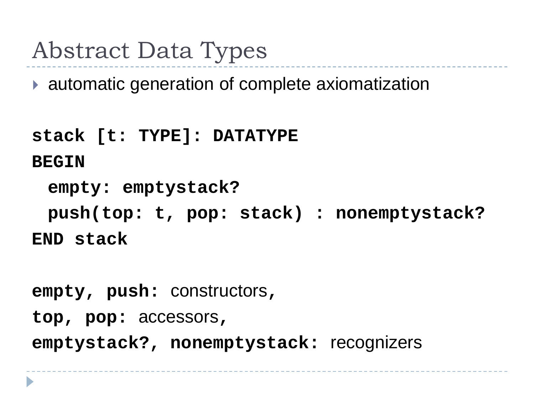## Abstract Data Types

▶ automatic generation of complete axiomatization

```
stack [t: TYPE]: DATATYPE
BEGIN
 empty: emptystack?
 push(top: t, pop: stack) : nonemptystack?
END stack
```

```
empty, push: constructors, 
top, pop: accessors, 
emptystack?, nonemptystack: recognizers
```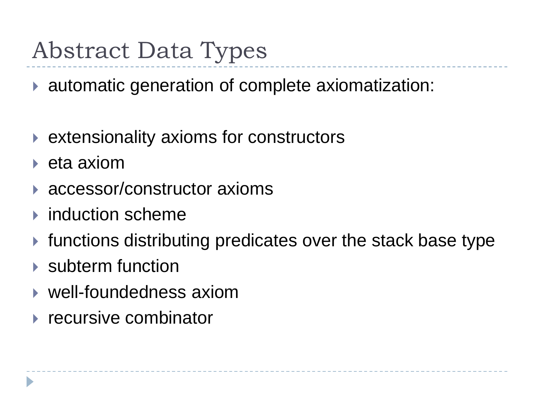## Abstract Data Types

▶ automatic generation of complete axiomatization:

- ▶ extensionality axioms for constructors
- $\blacktriangleright$  eta axiom
- ▶ accessor/constructor axioms
- $\blacktriangleright$  induction scheme
- ▶ functions distributing predicates over the stack base type
- ▶ subterm function
- ▶ well-foundedness axiom
- $\triangleright$  recursive combinator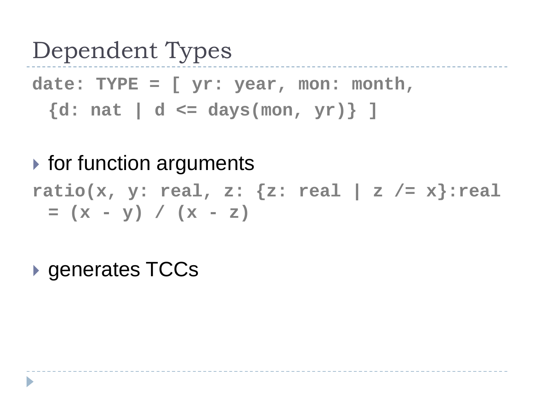### Dependent Types

**date: TYPE = [ yr: year, mon: month, {d: nat | d <= days(mon, yr)} ]**

- $\triangleright$  for function arguments **ratio(x, y: real, z: {z: real | z /= x}:real**   $=$   $(x - y) / (x - z)$
- ▶ generates TCCs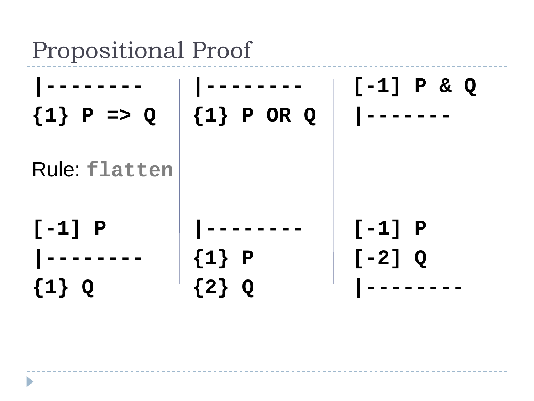Propositional Proof

| ${1} \ P \Rightarrow Q$          | $\{1\}$ P OR Q            | $[-1]$ P & Q |
|----------------------------------|---------------------------|--------------|
| <b>Rule: flatten</b><br>$[-1]$ P |                           | $[-1]$ P     |
| $\{1\}$<br>Q                     | $\{1\}$ P<br>$\{2\}$<br>Q | $[-2]$ Q     |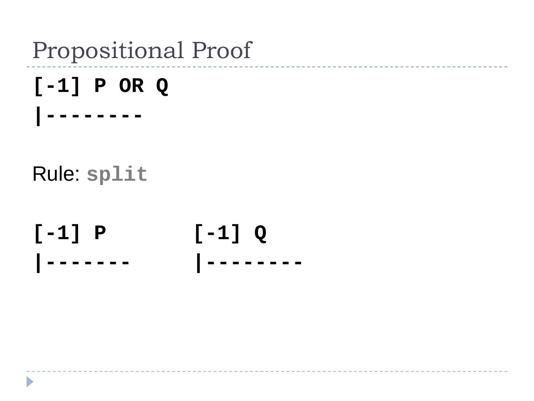### Propositional Proof

# **[-1] P OR Q**

Rule: **split** 

Ь

**|--------**

**[-1] P [-1] Q |------- |--------**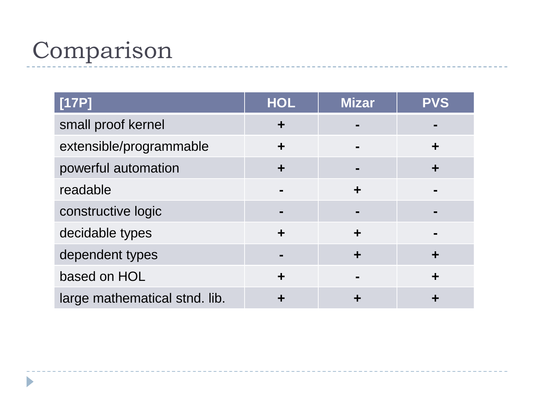## Comparison

| [17P]                         | <b>HOL</b> | <b>Mizar</b> | <b>PVS</b> |
|-------------------------------|------------|--------------|------------|
| small proof kernel            | ╈          |              |            |
| extensible/programmable       | ╈          |              |            |
| powerful automation           | ╈          |              |            |
| readable                      |            | ╈            |            |
| constructive logic            |            |              |            |
| decidable types               | ÷          |              |            |
| dependent types               |            |              |            |
| based on HOL                  | ÷          |              |            |
| large mathematical stnd. lib. |            |              |            |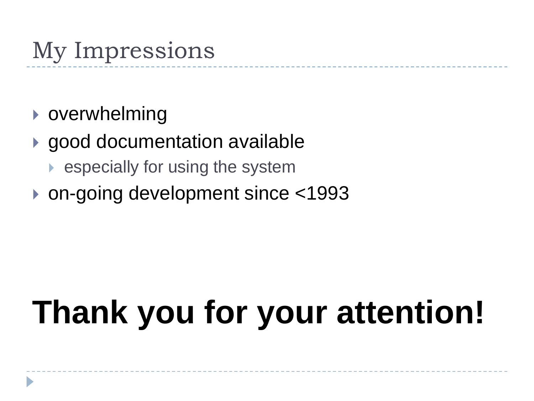## My Impressions

- **D** overwhelming
- ▶ good documentation available
	- especially for using the system
- ▶ on-going development since <1993

# **Thank you for your attention!**